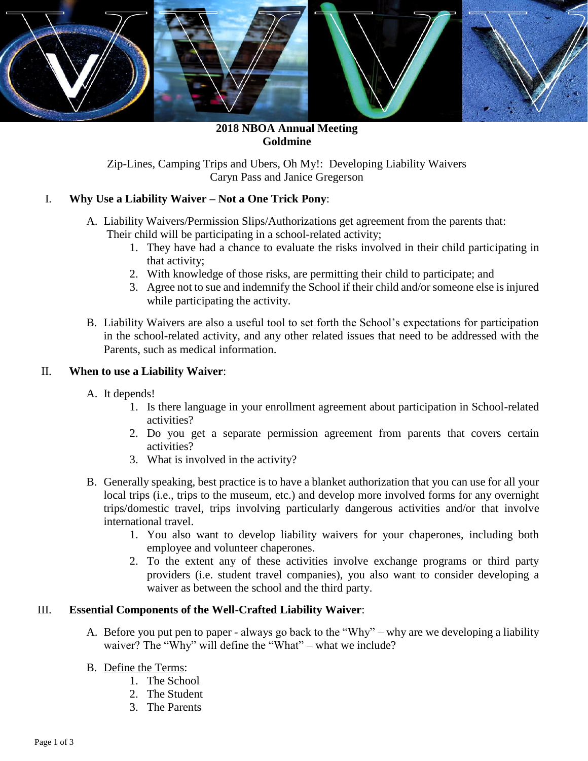

**2018 NBOA Annual Meeting Goldmine**

Zip-Lines, Camping Trips and Ubers, Oh My!: Developing Liability Waivers Caryn Pass and Janice Gregerson

## I. **Why Use a Liability Waiver – Not a One Trick Pony**:

- A. Liability Waivers/Permission Slips/Authorizations get agreement from the parents that: Their child will be participating in a school-related activity;
	- 1. They have had a chance to evaluate the risks involved in their child participating in that activity;
	- 2. With knowledge of those risks, are permitting their child to participate; and
	- 3. Agree not to sue and indemnify the School if their child and/or someone else is injured while participating the activity.
- B. Liability Waivers are also a useful tool to set forth the School's expectations for participation in the school-related activity, and any other related issues that need to be addressed with the Parents, such as medical information.

# II. **When to use a Liability Waiver**:

- A. It depends!
	- 1. Is there language in your enrollment agreement about participation in School-related activities?
	- 2. Do you get a separate permission agreement from parents that covers certain activities?
	- 3. What is involved in the activity?
- B. Generally speaking, best practice is to have a blanket authorization that you can use for all your local trips (i.e., trips to the museum, etc.) and develop more involved forms for any overnight trips/domestic travel, trips involving particularly dangerous activities and/or that involve international travel.
	- 1. You also want to develop liability waivers for your chaperones, including both employee and volunteer chaperones.
	- 2. To the extent any of these activities involve exchange programs or third party providers (i.e. student travel companies), you also want to consider developing a waiver as between the school and the third party.

## III. **Essential Components of the Well-Crafted Liability Waiver**:

- A. Before you put pen to paper always go back to the "Why" why are we developing a liability waiver? The "Why" will define the "What" – what we include?
- B. Define the Terms:
	- 1. The School
	- 2. The Student
	- 3. The Parents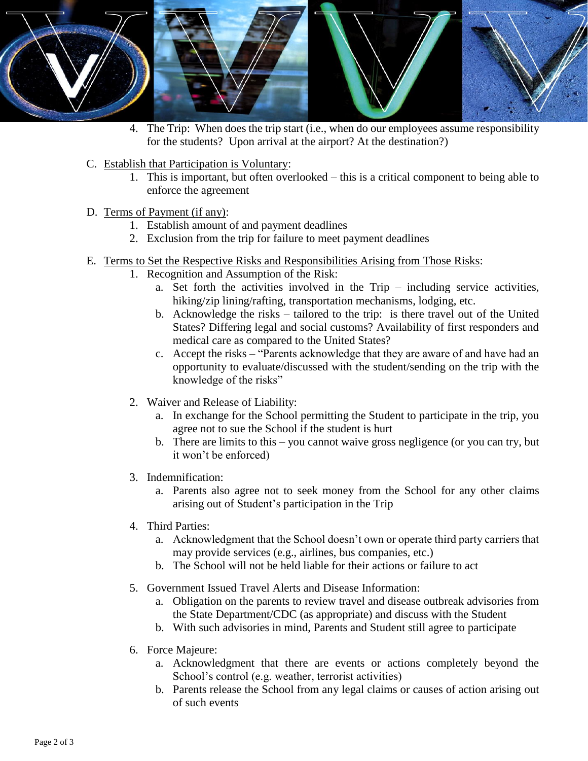

- 4. The Trip: When does the trip start (i.e., when do our employees assume responsibility for the students? Upon arrival at the airport? At the destination?)
- C. Establish that Participation is Voluntary:
	- 1. This is important, but often overlooked this is a critical component to being able to enforce the agreement
- D. Terms of Payment (if any):
	- 1. Establish amount of and payment deadlines
	- 2. Exclusion from the trip for failure to meet payment deadlines
- E. Terms to Set the Respective Risks and Responsibilities Arising from Those Risks:
	- 1. Recognition and Assumption of the Risk:
		- a. Set forth the activities involved in the Trip including service activities, hiking/zip lining/rafting, transportation mechanisms, lodging, etc.
		- b. Acknowledge the risks tailored to the trip: is there travel out of the United States? Differing legal and social customs? Availability of first responders and medical care as compared to the United States?
		- c. Accept the risks "Parents acknowledge that they are aware of and have had an opportunity to evaluate/discussed with the student/sending on the trip with the knowledge of the risks"
	- 2. Waiver and Release of Liability:
		- a. In exchange for the School permitting the Student to participate in the trip, you agree not to sue the School if the student is hurt
		- b. There are limits to this you cannot waive gross negligence (or you can try, but it won't be enforced)
	- 3. Indemnification:
		- a. Parents also agree not to seek money from the School for any other claims arising out of Student's participation in the Trip
	- 4. Third Parties:
		- a. Acknowledgment that the School doesn't own or operate third party carriers that may provide services (e.g., airlines, bus companies, etc.)
		- b. The School will not be held liable for their actions or failure to act
	- 5. Government Issued Travel Alerts and Disease Information:
		- a. Obligation on the parents to review travel and disease outbreak advisories from the State Department/CDC (as appropriate) and discuss with the Student
		- b. With such advisories in mind, Parents and Student still agree to participate
	- 6. Force Majeure:
		- a. Acknowledgment that there are events or actions completely beyond the School's control (e.g. weather, terrorist activities)
		- b. Parents release the School from any legal claims or causes of action arising out of such events